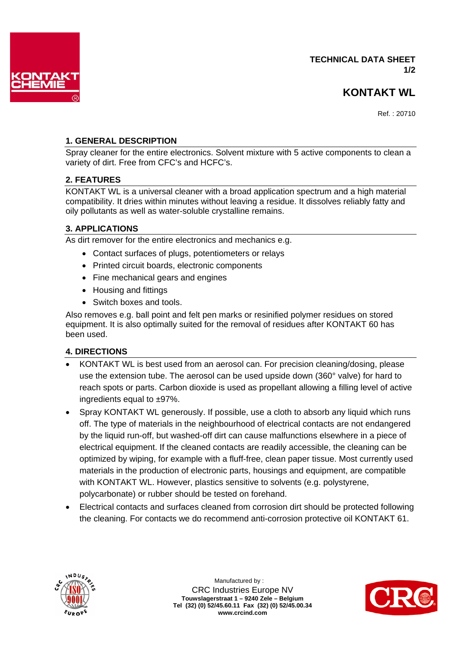

## **TECHNICAL DATA SHEET 1/2**

## **KONTAKT WL**

Ref. : 20710

## **1. GENERAL DESCRIPTION**

Spray cleaner for the entire electronics. Solvent mixture with 5 active components to clean a variety of dirt. Free from CFC's and HCFC's.

### **2. FEATURES**

KONTAKT WL is a universal cleaner with a broad application spectrum and a high material compatibility. It dries within minutes without leaving a residue. It dissolves reliably fatty and oily pollutants as well as water-soluble crystalline remains.

### **3. APPLICATIONS**

As dirt remover for the entire electronics and mechanics e.g.

- Contact surfaces of plugs, potentiometers or relays
- Printed circuit boards, electronic components
- Fine mechanical gears and engines
- Housing and fittings
- Switch boxes and tools.

Also removes e.g. ball point and felt pen marks or resinified polymer residues on stored equipment. It is also optimally suited for the removal of residues after KONTAKT 60 has been used.

## **4. DIRECTIONS**

- KONTAKT WL is best used from an aerosol can. For precision cleaning/dosing, please use the extension tube. The aerosol can be used upside down (360° valve) for hard to reach spots or parts. Carbon dioxide is used as propellant allowing a filling level of active ingredients equal to ±97%.
- Spray KONTAKT WL generously. If possible, use a cloth to absorb any liquid which runs off. The type of materials in the neighbourhood of electrical contacts are not endangered by the liquid run-off, but washed-off dirt can cause malfunctions elsewhere in a piece of electrical equipment. If the cleaned contacts are readily accessible, the cleaning can be optimized by wiping, for example with a fluff-free, clean paper tissue. Most currently used materials in the production of electronic parts, housings and equipment, are compatible with KONTAKT WL. However, plastics sensitive to solvents (e.g. polystyrene, polycarbonate) or rubber should be tested on forehand.
- Electrical contacts and surfaces cleaned from corrosion dirt should be protected following the cleaning. For contacts we do recommend anti-corrosion protective oil KONTAKT 61.